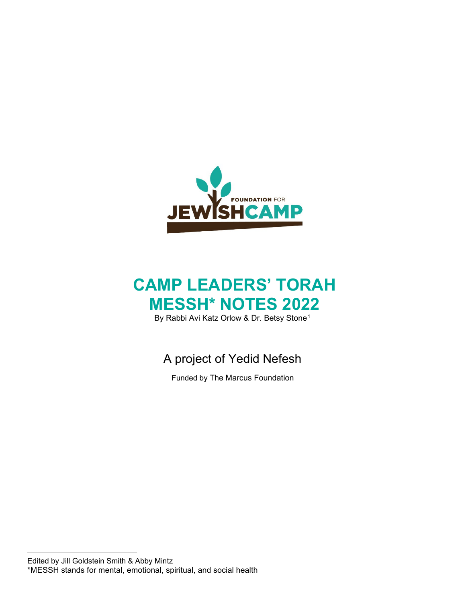

# **CAMP LEADERS' TORAH MESSH\* NOTES 2022**

By Rabbi Avi Katz Orlow & Dr. Betsy Stone<sup>[1](#page-0-0)</sup>

A project of Yedid Nefesh

Funded by The Marcus Foundation

<span id="page-0-0"></span>Edited by Jill Goldstein Smith & Abby Mintz \*MESSH stands for mental, emotional, spiritual, and social health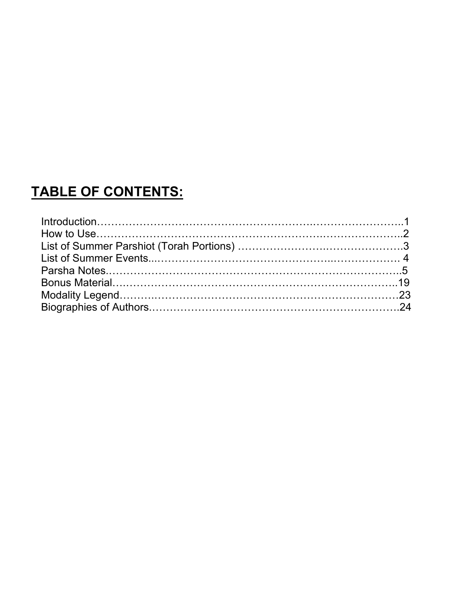### **TABLE OF CONTENTS:**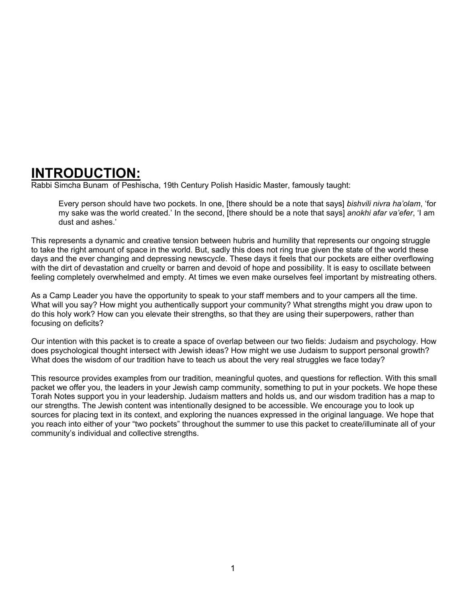### **INTRODUCTION:**

Rabbi Simcha Bunam of Peshischa, 19th Century Polish Hasidic Master, famously taught:

Every person should have two pockets. In one, [there should be a note that says] *bishvili nivra ha'olam*, 'for my sake was the world created.' In the second, [there should be a note that says] *anokhi afar va'efer*, 'I am dust and ashes.'

This represents a dynamic and creative tension between hubris and humility that represents our ongoing struggle to take the right amount of space in the world. But, sadly this does not ring true given the state of the world these days and the ever changing and depressing newscycle. These days it feels that our pockets are either overflowing with the dirt of devastation and cruelty or barren and devoid of hope and possibility. It is easy to oscillate between feeling completely overwhelmed and empty. At times we even make ourselves feel important by mistreating others.

As a Camp Leader you have the opportunity to speak to your staff members and to your campers all the time. What will you say? How might you authentically support your community? What strengths might you draw upon to do this holy work? How can you elevate their strengths, so that they are using their superpowers, rather than focusing on deficits?

Our intention with this packet is to create a space of overlap between our two fields: Judaism and psychology. How does psychological thought intersect with Jewish ideas? How might we use Judaism to support personal growth? What does the wisdom of our tradition have to teach us about the very real struggles we face today?

This resource provides examples from our tradition, meaningful quotes, and questions for reflection. With this small packet we offer you, the leaders in your Jewish camp community, something to put in your pockets. We hope these Torah Notes support you in your leadership. Judaism matters and holds us, and our wisdom tradition has a map to our strengths. The Jewish content was intentionally designed to be accessible. We encourage you to look up sources for placing text in its context, and exploring the nuances expressed in the original language. We hope that you reach into either of your "two pockets" throughout the summer to use this packet to create/illuminate all of your community's individual and collective strengths.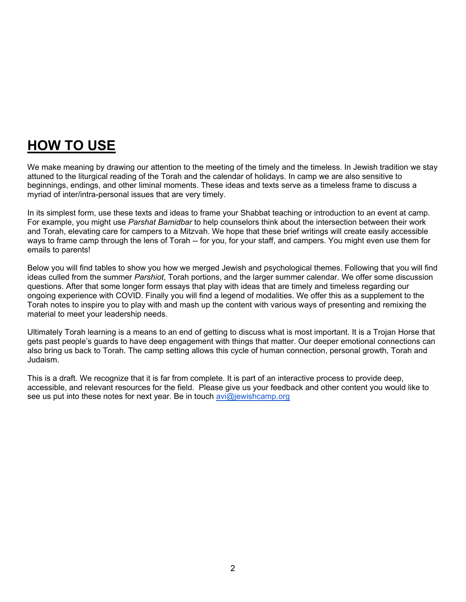### **HOW TO USE**

We make meaning by drawing our attention to the meeting of the timely and the timeless. In Jewish tradition we stay attuned to the liturgical reading of the Torah and the calendar of holidays. In camp we are also sensitive to beginnings, endings, and other liminal moments. These ideas and texts serve as a timeless frame to discuss a myriad of inter/intra-personal issues that are very timely.

In its simplest form, use these texts and ideas to frame your Shabbat teaching or introduction to an event at camp. For example, you might use *Parshat Bamidbar* to help counselors think about the intersection between their work and Torah, elevating care for campers to a Mitzvah. We hope that these brief writings will create easily accessible ways to frame camp through the lens of Torah -- for you, for your staff, and campers. You might even use them for emails to parents!

Below you will find tables to show you how we merged Jewish and psychological themes. Following that you will find ideas culled from the summer *Parshiot*, Torah portions, and the larger summer calendar. We offer some discussion questions. After that some longer form essays that play with ideas that are timely and timeless regarding our ongoing experience with COVID. Finally you will find a legend of modalities. We offer this as a supplement to the Torah notes to inspire you to play with and mash up the content with various ways of presenting and remixing the material to meet your leadership needs.

Ultimately Torah learning is a means to an end of getting to discuss what is most important. It is a Trojan Horse that gets past people's guards to have deep engagement with things that matter. Our deeper emotional connections can also bring us back to Torah. The camp setting allows this cycle of human connection, personal growth, Torah and Judaism.

This is a draft. We recognize that it is far from complete. It is part of an interactive process to provide deep, accessible, and relevant resources for the field. Please give us your feedback and other content you would like to see us put into these notes for next year. Be in touch  $\frac{\partial u}{\partial x}$  ewishcamp.org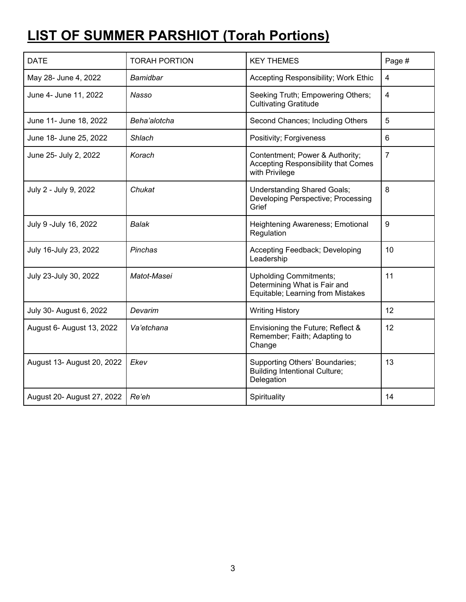## **LIST OF SUMMER PARSHIOT (Torah Portions)**

| <b>DATE</b>                | <b>TORAH PORTION</b> | <b>KEY THEMES</b>                                                                                  | Page #           |
|----------------------------|----------------------|----------------------------------------------------------------------------------------------------|------------------|
| May 28- June 4, 2022       | Bamidbar             | Accepting Responsibility; Work Ethic                                                               | 4                |
| June 4- June 11, 2022      | Nasso                | Seeking Truth; Empowering Others;<br><b>Cultivating Gratitude</b>                                  | $\overline{4}$   |
| June 11- June 18, 2022     | Beha'alotcha         | Second Chances; Including Others                                                                   | 5                |
| June 18- June 25, 2022     | Shlach               | Positivity; Forgiveness                                                                            | 6                |
| June 25- July 2, 2022      | Korach               | Contentment; Power & Authority;<br>Accepting Responsibility that Comes<br>with Privilege           | $\overline{7}$   |
| July 2 - July 9, 2022      | Chukat               | <b>Understanding Shared Goals;</b><br>Developing Perspective; Processing<br>Grief                  | 8                |
| July 9 - July 16, 2022     | <b>Balak</b>         | Heightening Awareness; Emotional<br>Regulation                                                     | $\boldsymbol{9}$ |
| July 16-July 23, 2022      | Pinchas              | Accepting Feedback; Developing<br>Leadership                                                       | 10               |
| July 23-July 30, 2022      | Matot-Masei          | <b>Upholding Commitments;</b><br>Determining What is Fair and<br>Equitable; Learning from Mistakes | 11               |
| July 30- August 6, 2022    | Devarim              | <b>Writing History</b>                                                                             | 12               |
| August 6- August 13, 2022  | Va'etchana           | Envisioning the Future; Reflect &<br>Remember; Faith; Adapting to<br>Change                        | 12               |
| August 13- August 20, 2022 | Ekev                 | Supporting Others' Boundaries;<br><b>Building Intentional Culture;</b><br>Delegation               | 13               |
| August 20- August 27, 2022 | Re'eh                | Spirituality                                                                                       | 14               |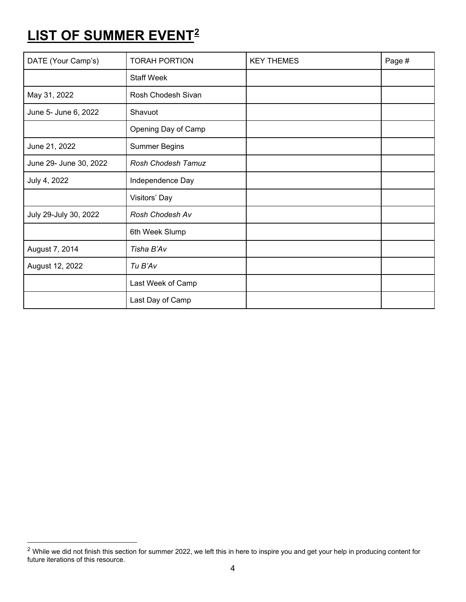### **LIST OF SUMMER EVENT[2](#page-5-0)**

| DATE (Your Camp's)     | <b>TORAH PORTION</b>      | <b>KEY THEMES</b> | Page # |
|------------------------|---------------------------|-------------------|--------|
|                        | <b>Staff Week</b>         |                   |        |
| May 31, 2022           | Rosh Chodesh Sivan        |                   |        |
| June 5- June 6, 2022   | Shavuot                   |                   |        |
|                        | Opening Day of Camp       |                   |        |
| June 21, 2022          | <b>Summer Begins</b>      |                   |        |
| June 29- June 30, 2022 | <b>Rosh Chodesh Tamuz</b> |                   |        |
| July 4, 2022           | Independence Day          |                   |        |
|                        | Visitors' Day             |                   |        |
| July 29-July 30, 2022  | Rosh Chodesh Av           |                   |        |
|                        | 6th Week Slump            |                   |        |
| August 7, 2014         | Tisha B'Av                |                   |        |
| August 12, 2022        | Tu B'Av                   |                   |        |
|                        | Last Week of Camp         |                   |        |
|                        | Last Day of Camp          |                   |        |

<span id="page-5-0"></span> $^2$  While we did not finish this section for summer 2022, we left this in here to inspire you and get your help in producing content for future iterations of this resource.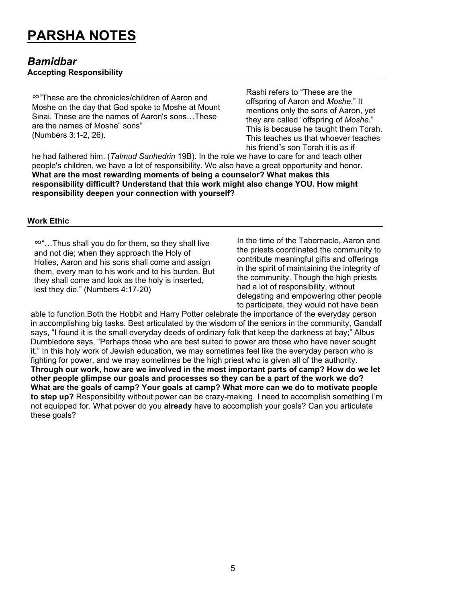### **PARSHA NOTES**

### *Bamidbar*

**Accepting Responsibility**

∞"These are the chronicles/children of Aaron and Moshe on the day that God spoke to Moshe at Mount Sinai. These are the names of Aaron's sons…These are the names of Moshe" sons" (Numbers 3:1-2, 26).

Rashi refers to "These are the offspring of Aaron and *Moshe*." It mentions only the sons of Aaron, yet they are called "offspring of *Moshe*." This is because he taught them Torah. This teaches us that whoever teaches his friend"s son Torah it is as if

he had fathered him. (*Talmud Sanhedrin* 19B). In the role we have to care for and teach other people's children, we have a lot of responsibility. We also have a great opportunity and honor. **What are the most rewarding moments of being a counselor? What makes this responsibility difficult? Understand that this work might also change YOU. How might responsibility deepen your connection with yourself?**

#### **Work Ethic**

∞"…Thus shall you do for them, so they shall live and not die; when they approach the Holy of Holies, Aaron and his sons shall come and assign them, every man to his work and to his burden. But they shall come and look as the holy is inserted, lest they die." (Numbers 4:17-20)

In the time of the Tabernacle, Aaron and the priests coordinated the community to contribute meaningful gifts and offerings in the spirit of maintaining the integrity of the community. Though the high priests had a lot of responsibility, without delegating and empowering other people to participate, they would not have been

able to function.Both the Hobbit and Harry Potter celebrate the importance of the everyday person in accomplishing big tasks. Best articulated by the wisdom of the seniors in the community, Gandalf says, "I found it is the small everyday deeds of ordinary folk that keep the darkness at bay;" Albus Dumbledore says, "Perhaps those who are best suited to power are those who have never sought it." In this holy work of Jewish education, we may sometimes feel like the everyday person who is fighting for power, and we may sometimes be the high priest who is given all of the authority. **Through our work, how are we involved in the most important parts of camp? How do we let other people glimpse our goals and processes so they can be a part of the work we do? What are the goals of camp? Your goals at camp? What more can we do to motivate people to step up?** Responsibility without power can be crazy-making. I need to accomplish something I'm not equipped for. What power do you **already** have to accomplish your goals? Can you articulate these goals?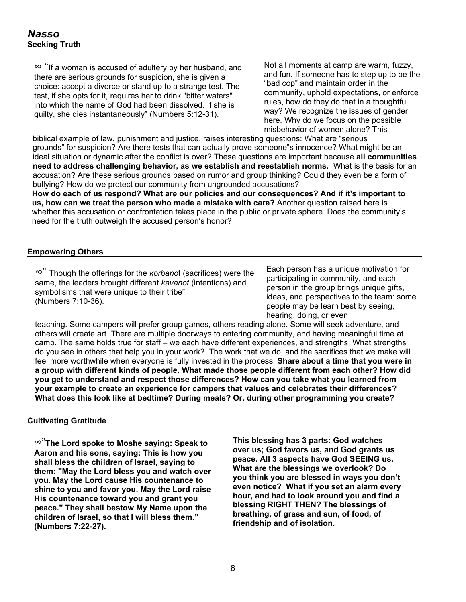∞ "If a woman is accused of adultery by her husband, and there are serious grounds for suspicion, she is given a choice: accept a divorce or stand up to a strange test. The test, if she opts for it, requires her to drink "bitter waters" into which the name of God had been dissolved. If she is guilty, she dies instantaneously" (Numbers 5:12-31).

Not all moments at camp are warm, fuzzy, and fun. If someone has to step up to be the "bad cop" and maintain order in the community, uphold expectations, or enforce rules, how do they do that in a thoughtful way? We recognize the issues of gender here. Why do we focus on the possible misbehavior of women alone? This

biblical example of law, punishment and justice, raises interesting questions: What are "serious grounds" for suspicion? Are there tests that can actually prove someone"s innocence? What might be an ideal situation or dynamic after the conflict is over? These questions are important because **all communities need to address challenging behavior, as we establish and reestablish norms.** What is the basis for an accusation? Are these serious grounds based on rumor and group thinking? Could they even be a form of bullying? How do we protect our community from ungrounded accusations?

**How do each of us respond? What are our policies and our consequences? And if it's important to us, how can we treat the person who made a mistake with care?** Another question raised here is whether this accusation or confrontation takes place in the public or private sphere. Does the community's need for the truth outweigh the accused person's honor?

#### **Empowering Others**

∞" Though the offerings for the *korbano*t (sacrifices) were the same, the leaders brought different *kavanot* (intentions) and symbolisms that were unique to their tribe" (Numbers 7:10-36).

Each person has a unique motivation for participating in community, and each person in the group brings unique gifts, ideas, and perspectives to the team: some people may be learn best by seeing, hearing, doing, or even

teaching. Some campers will prefer group games, others reading alone. Some will seek adventure, and others will create art. There are multiple doorways to entering community, and having meaningful time at camp. The same holds true for staff – we each have different experiences, and strengths. What strengths do you see in others that help you in your work? The work that we do, and the sacrifices that we make will feel more worthwhile when everyone is fully invested in the process. **Share about a time that you were in a group with different kinds of people. What made those people different from each other? How did you get to understand and respect those differences? How can you take what you learned from your example to create an experience for campers that values and celebrates their differences? What does this look like at bedtime? During meals? Or, during other programming you create?**

#### **Cultivating Gratitude**

∞"**The Lord spoke to Moshe saying: Speak to Aaron and his sons, saying: This is how you shall bless the children of Israel, saying to them: "May the Lord bless you and watch over you. May the Lord cause His countenance to shine to you and favor you. May the Lord raise His countenance toward you and grant you peace." They shall bestow My Name upon the children of Israel, so that I will bless them." (Numbers 7:22-27).** 

**This blessing has 3 parts: God watches over us; God favors us, and God grants us peace. All 3 aspects have God SEEING us. What are the blessings we overlook? Do you think you are blessed in ways you don't even notice? What if you set an alarm every hour, and had to look around you and find a blessing RIGHT THEN? The blessings of breathing, of grass and sun, of food, of friendship and of isolation.**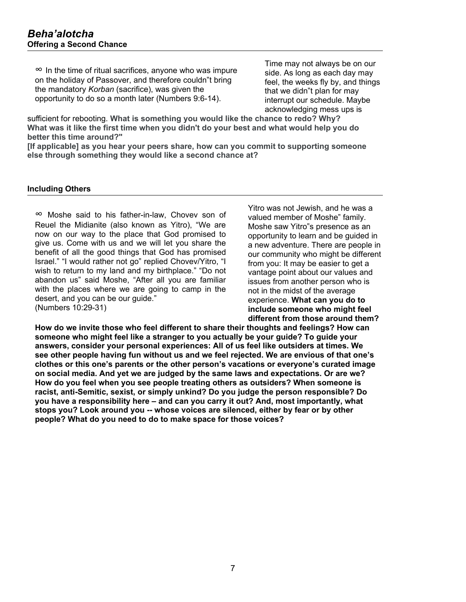∞ In the time of ritual sacrifices, anyone who was impure on the holiday of Passover, and therefore couldn"t bring the mandatory *Korban* (sacrifice), was given the opportunity to do so a month later (Numbers 9:6-14).

Time may not always be on our side. As long as each day may feel, the weeks fly by, and things that we didn"t plan for may interrupt our schedule. Maybe acknowledging mess ups is

sufficient for rebooting. **What is something you would like the chance to redo? Why? What was it like the first time when you didn't do your best and what would help you do better this time around?"** 

**[If applicable] as you hear your peers share, how can you commit to supporting someone else through something they would like a second chance at?**

#### **Including Others**

∞ Moshe said to his father-in-law, Chovev son of Reuel the Midianite (also known as Yitro), "We are now on our way to the place that God promised to give us. Come with us and we will let you share the benefit of all the good things that God has promised Israel." "I would rather not go" replied Chovev/Yitro, "I wish to return to my land and my birthplace." "Do not abandon us" said Moshe, "After all you are familiar with the places where we are going to camp in the desert, and you can be our guide." (Numbers 10:29-31)

Yitro was not Jewish, and he was a valued member of Moshe" family. Moshe saw Yitro"s presence as an opportunity to learn and be guided in a new adventure. There are people in our community who might be different from you: It may be easier to get a vantage point about our values and issues from another person who is not in the midst of the average experience. **What can you do to include someone who might feel different from those around them?** 

**How do we invite those who feel different to share their thoughts and feelings? How can someone who might feel like a stranger to you actually be your guide? To guide your answers, consider your personal experiences: All of us feel like outsiders at times. We see other people having fun without us and we feel rejected. We are envious of that one's clothes or this one's parents or the other person's vacations or everyone's curated image on social media. And yet we are judged by the same laws and expectations. Or are we? How do you feel when you see people treating others as outsiders? When someone is racist, anti-Semitic, sexist, or simply unkind? Do you judge the person responsible? Do you have a responsibility here – and can you carry it out? And, most importantly, what stops you? Look around you -- whose voices are silenced, either by fear or by other people? What do you need to do to make space for those voices?**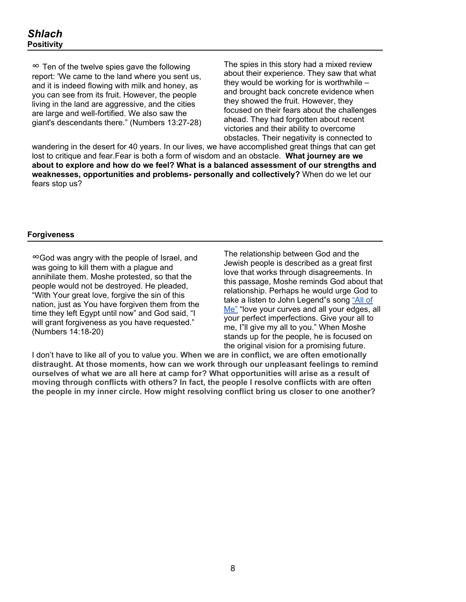∞ Ten of the twelve spies gave the following report: 'We came to the land where you sent us, and it is indeed flowing with milk and honey, as you can see from its fruit. However, the people living in the land are aggressive, and the cities are large and well-fortified. We also saw the giant's descendants there." (Numbers 13:27-28)

The spies in this story had a mixed review about their experience. They saw that what they would be working for is worthwhile – and brought back concrete evidence when they showed the fruit. However, they focused on their fears about the challenges ahead. They had forgotten about recent victories and their ability to overcome obstacles. Their negativity is connected to

wandering in the desert for 40 years. In our lives, we have accomplished great things that can get lost to critique and fear.Fear is both a form of wisdom and an obstacle. **What journey are we about to explore and how do we feel? What is a balanced assessment of our strengths and weaknesses, opportunities and problems- personally and collectively?** When do we let our fears stop us?

#### **Forgiveness**

∞God was angry with the people of Israel, and was going to kill them with a plague and annihilate them. Moshe protested, so that the people would not be destroyed. He pleaded, "With Your great love, forgive the sin of this nation, just as You have forgiven them from the time they left Egypt until now" and God said, "I will grant forgiveness as you have requested." (Numbers 14:18-20)

The relationship between God and the Jewish people is described as a great first love that works through disagreements. In this passage, Moshe reminds God about that relationship. Perhaps he would urge God to take a listen to John Legend"s song ["All of](https://www.youtube.com/watch?v=450p7goxZqg)  [Me"](https://www.youtube.com/watch?v=450p7goxZqg) "love your curves and all your edges, all your perfect imperfections. Give your all to me, I"ll give my all to you." When Moshe stands up for the people, he is focused on the original vision for a promising future.

I don't have to like all of you to value you. **When we are in conflict, we are often emotionally distraught. At those moments, how can we work through our unpleasant feelings to remind ourselves of what we are all here at camp for? What opportunities will arise as a result of moving through conflicts with others? In fact, the people I resolve conflicts with are often the people in my inner circle. How might resolving conflict bring us closer to one another?**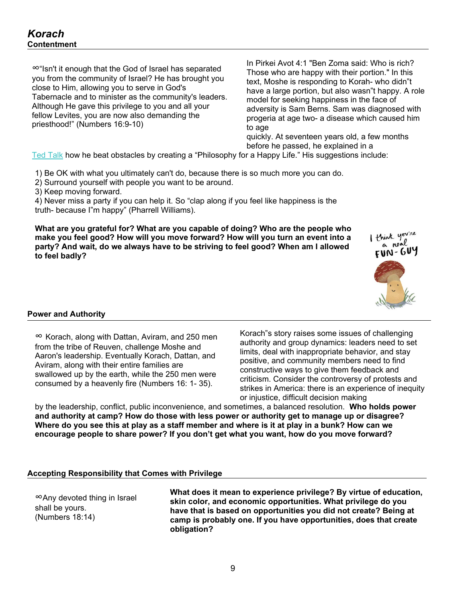∞"Isn't it enough that the God of Israel has separated you from the community of Israel? He has brought you close to Him, allowing you to serve in God's Tabernacle and to minister as the community's leaders. Although He gave this privilege to you and all your fellow Levites, you are now also demanding the priesthood!" (Numbers 16:9-10)

In Pirkei Avot 4:1 "Ben Zoma said: Who is rich? Those who are happy with their portion." In this text, Moshe is responding to Korah- who didn"t have a large portion, but also wasn"t happy. A role model for seeking happiness in the face of adversity is Sam Berns. Sam was diagnosed with progeria at age two- a disease which caused him to age

quickly. At seventeen years old, a few months before he passed, he explained in a

[Ted Talk](https://www.youtube.com/watch?v=36m1o-tM05g) how he beat obstacles by creating a "Philosophy for a Happy Life." His suggestions include:

1) Be OK with what you ultimately can't do, because there is so much more you can do.

2) Surround yourself with people you want to be around.

3) Keep moving forward.

4) Never miss a party if you can help it. So "clap along if you feel like happiness is the truth- because I"m happy" (Pharrell Williams).

**What are you grateful for? What are you capable of doing? Who are the people who make you feel good? How will you move forward? How will you turn an event into a party? And wait, do we always have to be striving to feel good? When am I allowed to feel badly?**



#### **Power and Authority**

∞ Korach, along with Dattan, Aviram, and 250 men from the tribe of Reuven, challenge Moshe and Aaron's leadership. Eventually Korach, Dattan, and Aviram, along with their entire families are swallowed up by the earth, while the 250 men were consumed by a heavenly fire (Numbers 16: 1- 35).

Korach"s story raises some issues of challenging authority and group dynamics: leaders need to set limits, deal with inappropriate behavior, and stay positive, and community members need to find constructive ways to give them feedback and criticism. Consider the controversy of protests and strikes in America: there is an experience of inequity or injustice, difficult decision making

by the leadership, conflict, public inconvenience, and sometimes, a balanced resolution. **Who holds power and authority at camp? How do those with less power or authority get to manage up or disagree? Where do you see this at play as a staff member and where is it at play in a bunk? How can we encourage people to share power? If you don't get what you want, how do you move forward?**

#### **Accepting Responsibility that Comes with Privilege**

∞Any devoted thing in Israel shall be yours. (Numbers 18:14)

**What does it mean to experience privilege? By virtue of education, skin color, and economic opportunities. What privilege do you have that is based on opportunities you did not create? Being at camp is probably one. If you have opportunities, does that create obligation?**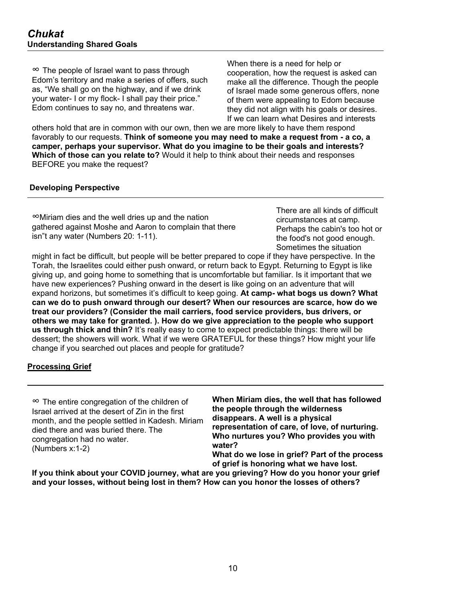∞ The people of Israel want to pass through Edom's territory and make a series of offers, such as, "We shall go on the highway, and if we drink your water- I or my flock- I shall pay their price." Edom continues to say no, and threatens war.

When there is a need for help or cooperation, how the request is asked can make all the difference. Though the people of Israel made some generous offers, none of them were appealing to Edom because they did not align with his goals or desires. If we can learn what Desires and interests

others hold that are in common with our own, then we are more likely to have them respond favorably to our requests. **Think of someone you may need to make a request from - a co, a camper, perhaps your supervisor. What do you imagine to be their goals and interests? Which of those can you relate to?** Would it help to think about their needs and responses BEFORE you make the request?

#### **Developing Perspective**

∞Miriam dies and the well dries up and the nation gathered against Moshe and Aaron to complain that there isn"t any water (Numbers 20: 1-11).

There are all kinds of difficult circumstances at camp. Perhaps the cabin's too hot or the food's not good enough. Sometimes the situation

might in fact be difficult, but people will be better prepared to cope if they have perspective. In the Torah, the Israelites could either push onward, or return back to Egypt. Returning to Egypt is like giving up, and going home to something that is uncomfortable but familiar. Is it important that we have new experiences? Pushing onward in the desert is like going on an adventure that will expand horizons, but sometimes it's difficult to keep going. **At camp- what bogs us down? What can we do to push onward through our desert? When our resources are scarce, how do we treat our providers? (Consider the mail carriers, food service providers, bus drivers, or others we may take for granted. ). How do we give appreciation to the people who support us through thick and thin?** It's really easy to come to expect predictable things: there will be dessert; the showers will work. What if we were GRATEFUL for these things? How might your life change if you searched out places and people for gratitude?

#### **Processing Grief**

∞ The entire congregation of the children of Israel arrived at the desert of Zin in the first month, and the people settled in Kadesh. Miriam died there and was buried there. The congregation had no water. (Numbers x:1-2)

**When Miriam dies, the well that has followed the people through the wilderness disappears. A well is a physical representation of care, of love, of nurturing. Who nurtures you? Who provides you with water?**

**What do we lose in grief? Part of the process of grief is honoring what we have lost.** 

**If you think about your COVID journey, what are you grieving? How do you honor your grief and your losses, without being lost in them? How can you honor the losses of others?**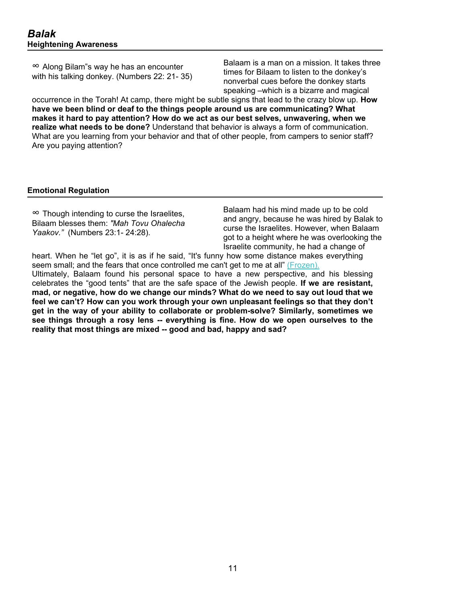∞ Along Bilam"s way he has an encounter with his talking donkey. (Numbers 22: 21- 35)

Balaam is a man on a mission. It takes three times for Bilaam to listen to the donkey's nonverbal cues before the donkey starts speaking –which is a bizarre and magical

occurrence in the Torah! At camp, there might be subtle signs that lead to the crazy blow up. **How have we been blind or deaf to the things people around us are communicating? What makes it hard to pay attention? How do we act as our best selves, unwavering, when we realize what needs to be done?** Understand that behavior is always a form of communication. What are you learning from your behavior and that of other people, from campers to senior staff? Are you paying attention?

#### **Emotional Regulation**

| $\infty$ Though intending to curse the Israelites,<br>Bilaam blesses them: "Mah Tovu Ohalecha"<br>Yaakov." (Numbers 23:1-24:28). | Balaam had his mind made up to be cold<br>and angry, because he was hired by Balak to<br>curse the Israelites. However, when Balaam<br>got to a height where he was overlooking the |
|----------------------------------------------------------------------------------------------------------------------------------|-------------------------------------------------------------------------------------------------------------------------------------------------------------------------------------|
|                                                                                                                                  | Israelite community, he had a change of                                                                                                                                             |

heart. When he "let go", it is as if he said, "It's funny how some distance makes everything seem small; and the fears that once controlled me can't get to me at all" [\(Frozen\).](https://www.youtube.com/watch?v=moSFlvxnbgk) 

Ultimately, Balaam found his personal space to have a new perspective, and his blessing celebrates the "good tents" that are the safe space of the Jewish people. **If we are resistant, mad, or negative, how do we change our minds? What do we need to say out loud that we feel we can't? How can you work through your own unpleasant feelings so that they don't get in the way of your ability to collaborate or problem-solve? Similarly, sometimes we see things through a rosy lens -- everything is fine. How do we open ourselves to the reality that most things are mixed -- good and bad, happy and sad?**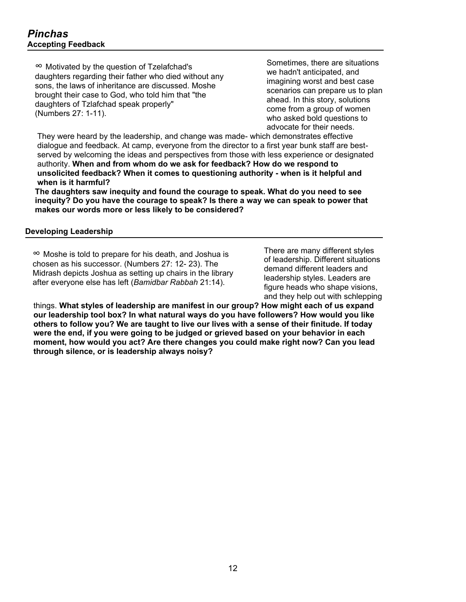∞ Motivated by the question of Tzelafchad's daughters regarding their father who died without any sons, the laws of inheritance are discussed. Moshe brought their case to God, who told him that "the daughters of Tzlafchad speak properly" (Numbers 27: 1-11).

Sometimes, there are situations we hadn't anticipated, and imagining worst and best case scenarios can prepare us to plan ahead. In this story, solutions come from a group of women who asked bold questions to advocate for their needs.

They were heard by the leadership, and change was made- which demonstrates effective dialogue and feedback. At camp, everyone from the director to a first year bunk staff are bestserved by welcoming the ideas and perspectives from those with less experience or designated authority. **When and from whom do we ask for feedback? How do we respond to unsolicited feedback? When it comes to questioning authority - when is it helpful and when is it harmful?**

**The daughters saw inequity and found the courage to speak. What do you need to see inequity? Do you have the courage to speak? Is there a way we can speak to power that makes our words more or less likely to be considered?**

#### **Developing Leadership**

∞ Moshe is told to prepare for his death, and Joshua is chosen as his successor. (Numbers 27: 12- 23). The Midrash depicts Joshua as setting up chairs in the library after everyone else has left (*Bamidbar Rabbah* 21:14).

There are many different styles of leadership. Different situations demand different leaders and leadership styles. Leaders are figure heads who shape visions, and they help out with schlepping

things. **What styles of leadership are manifest in our group? How might each of us expand our leadership tool box? In what natural ways do you have followers? How would you like others to follow you? We are taught to live our lives with a sense of their finitude. If today were the end, if you were going to be judged or grieved based on your behavior in each moment, how would you act? Are there changes you could make right now? Can you lead through silence, or is leadership always noisy?**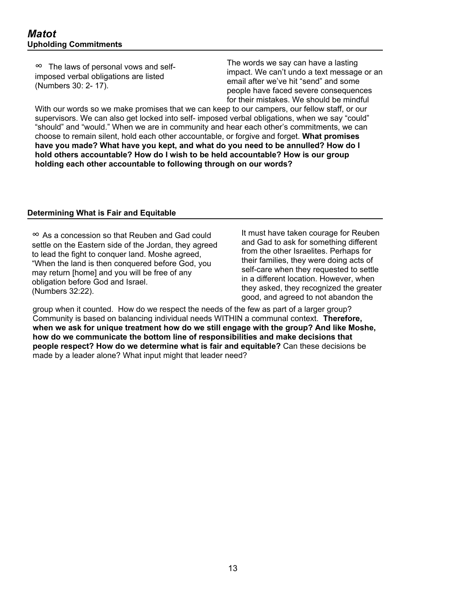∞ The laws of personal vows and selfimposed verbal obligations are listed (Numbers 30: 2- 17).

The words we say can have a lasting impact. We can't undo a text message or an email after we've hit "send" and some people have faced severe consequences for their mistakes. We should be mindful

With our words so we make promises that we can keep to our campers, our fellow staff, or our supervisors. We can also get locked into self- imposed verbal obligations, when we say "could" "should" and "would." When we are in community and hear each other's commitments, we can choose to remain silent, hold each other accountable, or forgive and forget. **What promises have you made? What have you kept, and what do you need to be annulled? How do I hold others accountable? How do I wish to be held accountable? How is our group holding each other accountable to following through on our words?**

#### **Determining What is Fair and Equitable**

∞ As a concession so that Reuben and Gad could settle on the Eastern side of the Jordan, they agreed to lead the fight to conquer land. Moshe agreed, "When the land is then conquered before God, you may return [home] and you will be free of any obligation before God and Israel. (Numbers 32:22).

It must have taken courage for Reuben and Gad to ask for something different from the other Israelites. Perhaps for their families, they were doing acts of self-care when they requested to settle in a different location. However, when they asked, they recognized the greater good, and agreed to not abandon the

group when it counted. How do we respect the needs of the few as part of a larger group? Community is based on balancing individual needs WITHIN a communal context. **Therefore, when we ask for unique treatment how do we still engage with the group? And like Moshe, how do we communicate the bottom line of responsibilities and make decisions that people respect? How do we determine what is fair and equitable?** Can these decisions be made by a leader alone? What input might that leader need?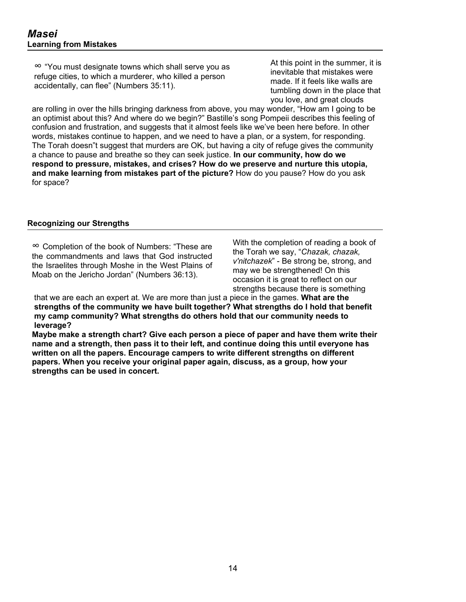∞ "You must designate towns which shall serve you as refuge cities, to which a murderer, who killed a person accidentally, can flee" (Numbers 35:11).

At this point in the summer, it is inevitable that mistakes were made. If it feels like walls are tumbling down in the place that you love, and great clouds

are rolling in over the hills bringing darkness from above, you may wonder, "How am I going to be an optimist about this? And where do we begin?" Bastille's song Pompeii describes this feeling of confusion and frustration, and suggests that it almost feels like we've been here before. In other words, mistakes continue to happen, and we need to have a plan, or a system, for responding. The Torah doesn"t suggest that murders are OK, but having a city of refuge gives the community a chance to pause and breathe so they can seek justice. **In our community, how do we respond to pressure, mistakes, and crises? How do we preserve and nurture this utopia, and make learning from mistakes part of the picture?** How do you pause? How do you ask for space?

#### **Recognizing our Strengths**

∞ Completion of the book of Numbers: "These are the commandments and laws that God instructed the Israelites through Moshe in the West Plains of Moab on the Jericho Jordan" (Numbers 36:13).

With the completion of reading a book of the Torah we say, "*Chazak, chazak, v'nitchazek*" - Be strong be, strong, and may we be strengthened! On this occasion it is great to reflect on our strengths because there is something

that we are each an expert at. We are more than just a piece in the games. **What are the strengths of the community we have built together? What strengths do I hold that benefit my camp community? What strengths do others hold that our community needs to leverage?**

**Maybe make a strength chart? Give each person a piece of paper and have them write their name and a strength, then pass it to their left, and continue doing this until everyone has written on all the papers. Encourage campers to write different strengths on different papers. When you receive your original paper again, discuss, as a group, how your strengths can be used in concert.**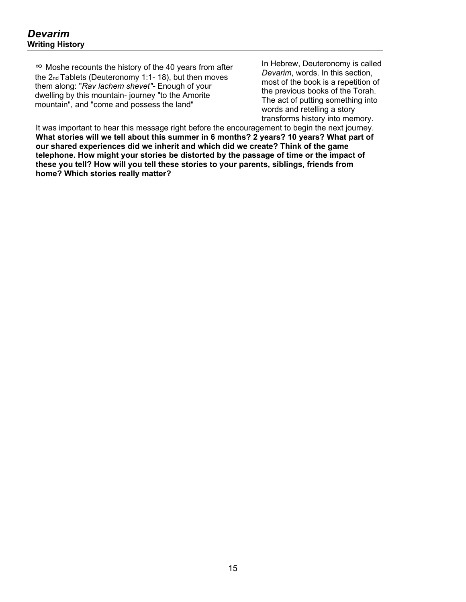∞ Moshe recounts the history of the 40 years from after the 2nd Tablets (Deuteronomy 1:1- 18), but then moves them along: "*Rav lachem shevet"-* Enough of your dwelling by this mountain- journey "to the Amorite mountain", and "come and possess the land"

In Hebrew, Deuteronomy is called *Devarim*, words. In this section, most of the book is a repetition of the previous books of the Torah. The act of putting something into words and retelling a story transforms history into memory.

It was important to hear this message right before the encouragement to begin the next journey. **What stories will we tell about this summer in 6 months? 2 years? 10 years? What part of our shared experiences did we inherit and which did we create? Think of the game telephone. How might your stories be distorted by the passage of time or the impact of these you tell? How will you tell these stories to your parents, siblings, friends from home? Which stories really matter?**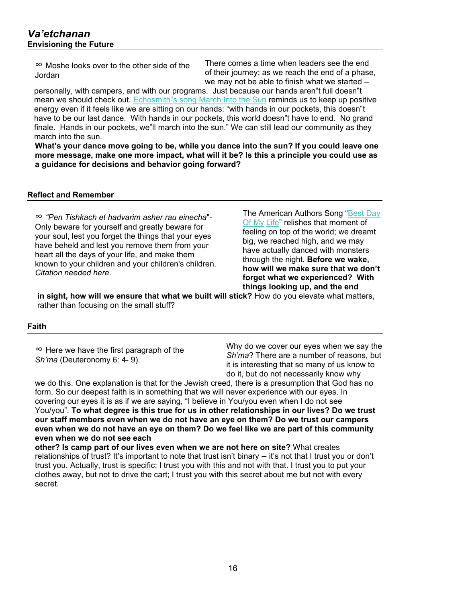∞ Moshe looks over to the other side of the Jordan

There comes a time when leaders see the end of their journey; as we reach the end of a phase, we may not be able to finish what we started –

personally, with campers, and with our programs. Just because our hands aren"t full doesn"t mean we should check out[.](https://www.youtube.com/watch?v=hUNOQdRbpqA) Echosmith 's [song March Into the Sun](https://www.youtube.com/watch?v=hUNOQdRbpqA) reminds us to keep up positive energy even if it feels like we are sitting on our hands: "with hands in our pockets, this doesn"t have to be our last dance. With hands in our pockets, this world doesn"t have to end. No grand finale. Hands in our pockets, we"ll march into the sun." We can still lead our community as they march into the sun.

**What's your dance move going to be, while you dance into the sun? If you could leave one more message, make one more impact, what will it be? Is this a principle you could use as a guidance for decisions and behavior going forward?**

#### **Reflect and Remember**

∞ *"Pen Tishkach et hadvarim asher rau einecha*"- Only beware for yourself and greatly beware for your soul, lest you forget the things that your eyes have beheld and lest you remove them from your heart all the days of your life, and make them known to your children and your children's children. *Citation needed here.*

The American Authors Song "Best Day [Of My](https://www.youtube.com/watch?v=Y66j_BUCBMY) [Life"](https://www.youtube.com/watch?v=Y66j_BUCBMY) relishes that moment of feeling on top of the world; we dreamt big, we reached high, and we may have actually danced with monsters through the night. **Before we wake, how will we make sure that we don't forget what we experienced? With things looking up, and the end**

**in sight, how will we ensure that what we built will stick?** How do you elevate what matters, rather than focusing on the small stuff?

#### **Faith**

∞ Here we have the first paragraph of the *Sh'ma* (Deuteronomy 6: 4- 9).

Why do we cover our eyes when we say the *Sh'ma*? There are a number of reasons, but it is interesting that so many of us know to do it, but do not necessarily know why

we do this. One explanation is that for the Jewish creed, there is a presumption that God has no form. So our deepest faith is in something that we will never experience with our eyes. In covering our eyes it is as if we are saying, "I believe in You/you even when I do not see You/you". **To what degree is this true for us in other relationships in our lives? Do we trust our staff members even when we do not have an eye on them? Do we trust our campers even when we do not have an eye on them? Do we feel like we are part of this community even when we do not see each**

**other? Is camp part of our lives even when we are not here on site?** What creates relationships of trust? It's important to note that trust isn't binary -- it's not that I trust you or don't trust you. Actually, trust is specific: I trust you with this and not with that. I trust you to put your clothes away, but not to drive the cart; I trust you with this secret about me but not with every secret.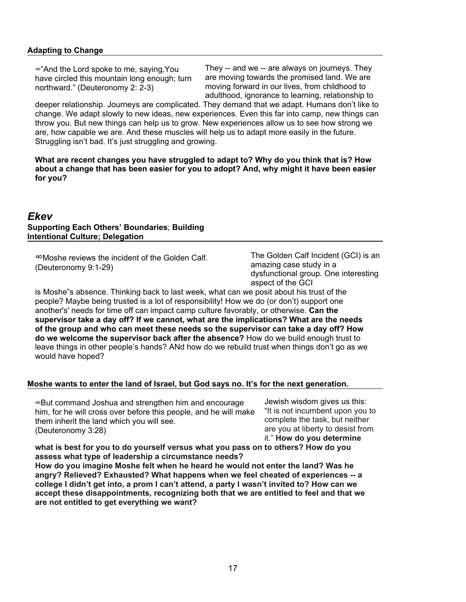#### **Adapting to Change**

∞"And the Lord spoke to me, saying,You have circled this mountain long enough; turn northward." (Deuteronomy 2: 2-3)

They -- and we -- are always on journeys. They are moving towards the promised land. We are moving forward in our lives, from childhood to adulthood, ignorance to learning, relationship to

deeper relationship. Journeys are complicated. They demand that we adapt. Humans don't like to change. We adapt slowly to new ideas, new experiences. Even this far into camp, new things can throw you. But new things can help us to grow. New experiences allow us to see how strong we are, how capable we are. And these muscles will help us to adapt more easily in the future. Struggling isn't bad. It's just struggling and growing.

**What are recent changes you have struggled to adapt to? Why do you think that is? How about a change that has been easier for you to adopt? And, why might it have been easier for you?**

#### *Ekev*

#### **Supporting Each Others' Boundaries**; **Building Intentional Culture; Delegation**

∞Moshe reviews the incident of the Golden Calf. (Deuteronomy 9:1-29)

The Golden Calf Incident (GCI) is an amazing case study in a dysfunctional group. One interesting aspect of the GCI

is Moshe"s absence. Thinking back to last week, what can we posit about his trust of the people? Maybe being trusted is a lot of responsibility! How we do (or don't) support one another's' needs for time off can impact camp culture favorably, or otherwise. **Can the supervisor take a day off? If we cannot, what are the implications? What are the needs of the group and who can meet these needs so the supervisor can take a day off? How do we welcome the supervisor back after the absence?** How do we build enough trust to leave things in other people's hands? ANd how do we rebuild trust when things don't go as we would have hoped?

#### **Moshe wants to enter the land of Israel, but God says no. It's for the next generation.**

∞But command Joshua and strengthen him and encourage him, for he will cross over before this people, and he will make them inherit the land which you will see. (Deuteronomy 3:28)

Jewish wisdom gives us this: "It is not incumbent upon you to complete the task, but neither are you at liberty to desist from it." **How do you determine** 

**what is best for you to do yourself versus what you pass on to others? How do you assess what type of leadership a circumstance needs?**

**How do you imagine Moshe felt when he heard he would not enter the land? Was he angry? Relieved? Exhausted? What happens when we feel cheated of experiences -- a college I didn't get into, a prom I can't attend, a party I wasn't invited to? How can we accept these disappointments, recognizing both that we are entitled to feel and that we are not entitled to get everything we want?**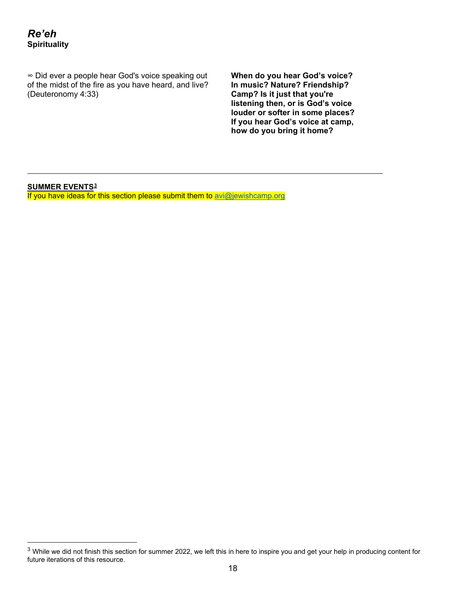∞ Did ever a people hear God's voice speaking out of the midst of the fire as you have heard, and live? (Deuteronomy 4:33)

 **When do you hear God's voice? In music? Nature? Friendship? Camp? Is it just that you're listening then, or is God's voice louder or softer in some places? If you hear God's voice at camp, how do you bring it home?** 

**SUMMER EVENTS[3](#page-19-0)**

If you have ideas for this section please submit them to [avi@jewishcamp.org](mailto:avi@jewishcamp.org)

<span id="page-19-0"></span><sup>&</sup>lt;sup>3</sup> While we did not finish this section for summer 2022, we left this in here to inspire you and get your help in producing content for future iterations of this resource.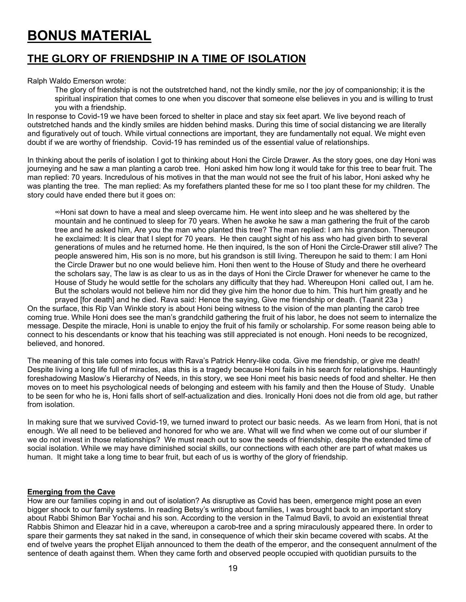### **BONUS MATERIAL**

### **THE GLORY OF FRIENDSHIP IN A TIME OF ISOLATION**

Ralph Waldo Emerson wrote:

The glory of friendship is not the outstretched hand, not the kindly smile, nor the joy of companionship; it is the spiritual inspiration that comes to one when you discover that someone else believes in you and is willing to trust you with a friendship.

In response to Covid-19 we have been forced to shelter in place and stay six feet apart. We live beyond reach of outstretched hands and the kindly smiles are hidden behind masks. During this time of social distancing we are literally and figuratively out of touch. While virtual connections are important, they are fundamentally not equal. We might even doubt if we are worthy of friendship. Covid-19 has reminded us of the essential value of relationships.

In thinking about the perils of isolation I got to thinking about Honi the Circle Drawer. As the story goes, one day Honi was journeying and he saw a man planting a carob tree. Honi asked him how long it would take for this tree to bear fruit. The man replied: 70 years. Incredulous of his motives in that the man would not see the fruit of his labor, Honi asked why he was planting the tree. The man replied: As my forefathers planted these for me so I too plant these for my children. The story could have ended there but it goes on:

∞Honi sat down to have a meal and sleep overcame him. He went into sleep and he was sheltered by the mountain and he continued to sleep for 70 years. When he awoke he saw a man gathering the fruit of the carob tree and he asked him, Are you the man who planted this tree? The man replied: I am his grandson. Thereupon he exclaimed: It is clear that I slept for 70 years. He then caught sight of his ass who had given birth to several generations of mules and he returned home. He then inquired, Is the son of Honi the Circle-Drawer still alive? The people answered him, His son is no more, but his grandson is still living. Thereupon he said to them: I am Honi the Circle Drawer but no one would believe him. Honi then went to the House of Study and there he overheard the scholars say, The law is as clear to us as in the days of Honi the Circle Drawer for whenever he came to the House of Study he would settle for the scholars any difficulty that they had. Whereupon Honi called out, I am he. But the scholars would not believe him nor did they give him the honor due to him. This hurt him greatly and he prayed [for death] and he died. Rava said: Hence the saying, Give me friendship or death. (Taanit 23a )

On the surface, this Rip Van Winkle story is about Honi being witness to the vision of the man planting the carob tree coming true. While Honi does see the man's grandchild gathering the fruit of his labor, he does not seem to internalize the message. Despite the miracle, Honi is unable to enjoy the fruit of his family or scholarship. For some reason being able to connect to his descendants or know that his teaching was still appreciated is not enough. Honi needs to be recognized, believed, and honored.

The meaning of this tale comes into focus with Rava's Patrick Henry-like coda. Give me friendship, or give me death! Despite living a long life full of miracles, alas this is a tragedy because Honi fails in his search for relationships. Hauntingly foreshadowing Maslow's Hierarchy of Needs, in this story, we see Honi meet his basic needs of food and shelter. He then moves on to meet his psychological needs of belonging and esteem with his family and then the House of Study. Unable to be seen for who he is, Honi falls short of self-actualization and dies. Ironically Honi does not die from old age, but rather from isolation.

In making sure that we survived Covid-19, we turned inward to protect our basic needs. As we learn from Honi, that is not enough. We all need to be believed and honored for who we are. What will we find when we come out of our slumber if we do not invest in those relationships? We must reach out to sow the seeds of friendship, despite the extended time of social isolation. While we may have diminished social skills, our connections with each other are part of what makes us human. It might take a long time to bear fruit, but each of us is worthy of the glory of friendship.

#### **Emerging from the Cave**

How are our families coping in and out of isolation? As disruptive as Covid has been, emergence might pose an even bigger shock to our family systems. In reading Betsy's writing about families, I was brought back to an important story about Rabbi Shimon Bar Yochai and his son. According to the version in the Talmud Bavli, to avoid an existential threat Rabbis Shimon and Eleazar hid in a cave, whereupon a carob-tree and a spring miraculously appeared there. In order to spare their garments they sat naked in the sand, in consequence of which their skin became covered with scabs. At the end of twelve years the prophet Elijah announced to them the death of the emperor, and the consequent annulment of the sentence of death against them. When they came forth and observed people occupied with quotidian pursuits to the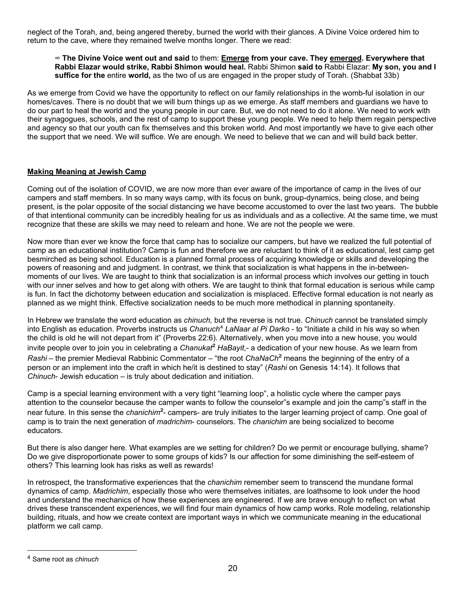neglect of the Torah, and, being angered thereby, burned the world with their glances. A Divine Voice ordered him to return to the cave, where they remained twelve months longer. There we read:

#### ∞ **The Divine Voice went out and said** to them: **Emerge from your cave. They emerged. Everywhere that Rabbi Elazar would strike, Rabbi Shimon would heal.** Rabbi Shimon **said to** Rabbi Elazar: **My son, you and I suffice for the** entire **world,** as the two of us are engaged in the proper study of Torah. (Shabbat 33b)

As we emerge from Covid we have the opportunity to reflect on our family relationships in the womb-ful isolation in our homes/caves. There is no doubt that we will burn things up as we emerge. As staff members and guardians we have to do our part to heal the world and the young people in our care. But, we do not need to do it alone. We need to work with their synagogues, schools, and the rest of camp to support these young people. We need to help them regain perspective and agency so that our youth can fix themselves and this broken world. And most importantly we have to give each other the support that we need. We will suffice. We are enough. We need to believe that we can and will build back better.

#### **Making Meaning at Jewish Camp**

Coming out of the isolation of COVID, we are now more than ever aware of the importance of camp in the lives of our campers and staff members. In so many ways camp, with its focus on bunk, group-dynamics, being close, and being present, is the polar opposite of the social distancing we have become accustomed to over the last two years. The bubble of that intentional community can be incredibly healing for us as individuals and as a collective. At the same time, we must recognize that these are skills we may need to relearn and hone. We are not the people we were.

Now more than ever we know the force that camp has to socialize our campers, but have we realized the full potential of camp as an educational institution? Camp is fun and therefore we are reluctant to think of it as educational, lest camp get besmirched as being school. Education is a planned formal process of acquiring knowledge or skills and developing the powers of reasoning and and judgment. In contrast, we think that socialization is what happens in the in-betweenmoments of our lives. We are taught to think that socialization is an informal process which involves our getting in touch with our inner selves and how to get along with others. We are taught to think that formal education is serious while camp is fun. In fact the dichotomy between education and socialization is misplaced. Effective formal education is not nearly as planned as we might think. Effective socialization needs to be much more methodical in planning spontaneity.

In Hebrew we translate the word education as *chinuch,* but the reverse is not true. *Chinuch* cannot be translated simply into English as education. Proverbs instructs us *Chanuch*[4](#page-21-0) *LaNaar al Pi Darko* - to "Initiate a child in his way so when the child is old he will not depart from it" (Proverbs 22:6). Alternatively, when you move into a new house, you would invite people over to join you in celebrating a *Chanukat<sup>2</sup> HaBayit*,- a dedication of your new house. As we learn from *Rashi* – the premier Medieval Rabbinic Commentator – "the root *ChaNaCh*² means the beginning of the entry of a person or an implement into the craft in which he/it is destined to stay" (*Rashi* on Genesis 14:14). It follows that *Chinuch*- Jewish education – is truly about dedication and initiation.

Camp is a special learning environment with a very tight "learning loop", a holistic cycle where the camper pays attention to the counselor because the camper wants to follow the counselor"s example and join the camp"s staff in the near future. In this sense the *chanichim*²- campers- are truly initiates to the larger learning project of camp. One goal of camp is to train the next generation of *madrichim*- counselors. The *chanichim* are being socialized to become educators.

But there is also danger here. What examples are we setting for children? Do we permit or encourage bullying, shame? Do we give disproportionate power to some groups of kids? Is our affection for some diminishing the self-esteem of others? This learning look has risks as well as rewards!

In retrospect, the transformative experiences that the *chanichim* remember seem to transcend the mundane formal dynamics of camp. *Madrichim*, especially those who were themselves initiates, are loathsome to look under the hood and understand the mechanics of how these experiences are engineered. If we are brave enough to reflect on what drives these transcendent experiences, we will find four main dynamics of how camp works. Role modeling, relationship building, rituals, and how we create context are important ways in which we communicate meaning in the educational platform we call camp.

<span id="page-21-0"></span><sup>4</sup> Same root as *chinuch*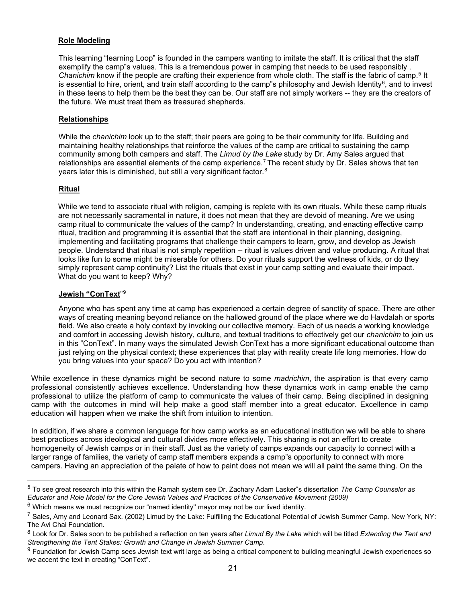#### **Role Modeling**

This learning "learning Loop" is founded in the campers wanting to imitate the staff. It is critical that the staff exemplify the camp"s values. This is a tremendous power in camping that needs to be used responsibly. Chanichim know if the people are crafting their experience from whole cloth. The staff is the fabric of camp.<sup>[5](#page-22-0)</sup> It is essential to hire, orient, and train staff according to the camp"s philosophy and Jewish Identity $^6$  $^6$ , and to invest in these teens to help them be the best they can be. Our staff are not simply workers -- they are the creators of the future. We must treat them as treasured shepherds.

#### **Relationships**

While the *chanichim* look up to the staff; their peers are going to be their community for life. Building and maintaining healthy relationships that reinforce the values of the camp are critical to sustaining the camp community among both campers and staff. The *Limud by the Lake* study by Dr. Amy Sales argued that relationships are essential elements of the camp experience.<sup>[7](#page-22-2)</sup> The recent study by Dr. Sales shows that ten years later this is diminished, but still a very significant factor. $^8$  $^8$ 

#### **Ritual**

While we tend to associate ritual with religion, camping is replete with its own rituals. While these camp rituals are not necessarily sacramental in nature, it does not mean that they are devoid of meaning. Are we using camp ritual to communicate the values of the camp? In understanding, creating, and enacting effective camp ritual, tradition and programming it is essential that the staff are intentional in their planning, designing, implementing and facilitating programs that challenge their campers to learn, grow, and develop as Jewish people. Understand that ritual is not simply repetition -- ritual is values driven and value producing. A ritual that looks like fun to some might be miserable for others. Do your rituals support the wellness of kids, or do they simply represent camp continuity? List the rituals that exist in your camp setting and evaluate their impact. What do you want to keep? Why?

#### **Jewish "ConText**" [9](#page-22-4)

Anyone who has spent any time at camp has experienced a certain degree of sanctity of space. There are other ways of creating meaning beyond reliance on the hallowed ground of the place where we do Havdalah or sports field. We also create a holy context by invoking our collective memory. Each of us needs a working knowledge and comfort in accessing Jewish history, culture, and textual traditions to effectively get our *chanichim* to join us in this "ConText". In many ways the simulated Jewish ConText has a more significant educational outcome than just relying on the physical context; these experiences that play with reality create life long memories. How do you bring values into your space? Do you act with intention?

While excellence in these dynamics might be second nature to some *madrichim*, the aspiration is that every camp professional consistently achieves excellence. Understanding how these dynamics work in camp enable the camp professional to utilize the platform of camp to communicate the values of their camp. Being disciplined in designing camp with the outcomes in mind will help make a good staff member into a great educator. Excellence in camp education will happen when we make the shift from intuition to intention.

In addition, if we share a common language for how camp works as an educational institution we will be able to share best practices across ideological and cultural divides more effectively. This sharing is not an effort to create homogeneity of Jewish camps or in their staff. Just as the variety of camps expands our capacity to connect with a larger range of families, the variety of camp staff members expands a camp"s opportunity to connect with more campers. Having an appreciation of the palate of how to paint does not mean we will all paint the same thing. On the

<span id="page-22-0"></span><sup>5</sup> To see great research into this within the Ramah system see Dr. Zachary Adam Lasker"s dissertation *The Camp Counselor as Educator and Role Model for the Core Jewish Values and Practices of the Conservative Movement (2009)*

<span id="page-22-1"></span><sup>&</sup>lt;sup>6</sup> Which means we must recognize our "named identity" mayor may not be our lived identity.

<span id="page-22-2"></span> $^7$  Sales, Amy and Leonard Sax. (2002) Limud by the Lake: Fulfilling the Educational Potential of Jewish Summer Camp. New York, NY: The Avi Chai Foundation.

<span id="page-22-3"></span><sup>8</sup> Look for Dr. Sales soon to be published a reflection on ten years after *Limud By the Lake* which will be titled *Extending the Tent and Strengthening the Tent Stakes: Growth and Change in Jewish Summer Camp*.

<span id="page-22-4"></span><sup>&</sup>lt;sup>9</sup> Foundation for Jewish Camp sees Jewish text writ large as being a critical component to building meaningful Jewish experiences so we accent the text in creating "ConText".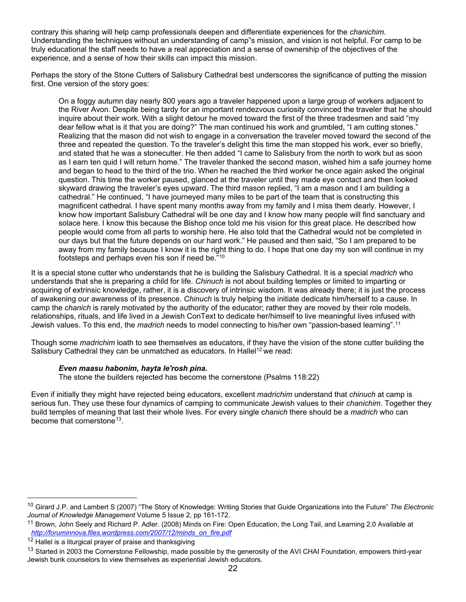contrary this sharing will help camp professionals deepen and differentiate experiences for the *chanichim*. Understanding the techniques without an understanding of camp"s mission, and vision is not helpful. For camp to be truly educational the staff needs to have a real appreciation and a sense of ownership of the objectives of the experience, and a sense of how their skills can impact this mission.

Perhaps the story of the Stone Cutters of Salisbury Cathedral best underscores the significance of putting the mission first. One version of the story goes:

On a foggy autumn day nearly 800 years ago a traveler happened upon a large group of workers adjacent to the River Avon. Despite being tardy for an important rendezvous curiosity convinced the traveler that he should inquire about their work. With a slight detour he moved toward the first of the three tradesmen and said "my dear fellow what is it that you are doing?" The man continued his work and grumbled, "I am cutting stones." Realizing that the mason did not wish to engage in a conversation the traveler moved toward the second of the three and repeated the question. To the traveler's delight this time the man stopped his work, ever so briefly, and stated that he was a stonecutter. He then added "I came to Salisbury from the north to work but as soon as I earn ten quid I will return home." The traveler thanked the second mason, wished him a safe journey home and began to head to the third of the trio. When he reached the third worker he once again asked the original question. This time the worker paused, glanced at the traveler until they made eye contact and then looked skyward drawing the traveler's eyes upward. The third mason replied, "I am a mason and I am building a cathedral." He continued, "I have journeyed many miles to be part of the team that is constructing this magnificent cathedral. I have spent many months away from my family and I miss them dearly. However, I know how important Salisbury Cathedral will be one day and I know how many people will find sanctuary and solace here. I know this because the Bishop once told me his vision for this great place. He described how people would come from all parts to worship here. He also told that the Cathedral would not be completed in our days but that the future depends on our hard work." He paused and then said, "So I am prepared to be away from my family because I know it is the right thing to do. I hope that one day my son will continue in my footsteps and perhaps even his son if need be." $^{\rm 10}$  $^{\rm 10}$  $^{\rm 10}$ 

It is a special stone cutter who understands that he is building the Salisbury Cathedral. It is a special *madrich* who understands that she is preparing a child for life. *Chinuch* is not about building temples or limited to imparting or acquiring of extrinsic knowledge, rather, it is a discovery of intrinsic wisdom. It was already there; it is just the process of awakening our awareness of its presence. *Chinuch* is truly helping the initiate dedicate him/herself to a cause. In camp the *chanich* is rarely motivated by the authority of the educator; rather they are moved by their role models, relationships, rituals, and life lived in a Jewish ConText to dedicate her/himself to live meaningful lives infused with Jewish values. To this end, the *madrich* needs to model connecting to his/her own "passion-based learning".[11](#page-23-1)

Though some *madrichim* loath to see themselves as educators, if they have the vision of the stone cutter building the Salisbury Cathedral they can be unmatched as educators. In Hallel<sup>[12](#page-23-2)</sup> we read:

#### *Even maasu habonim, hayta le'rosh pina***.**

The stone the builders rejected has become the cornerstone (Psalms 118:22)

Even if initially they might have rejected being educators, excellent *madrichim* understand that *chinuch* at camp is serious fun. They use these four dynamics of camping to communicate Jewish values to their *chanichim*. Together they build temples of meaning that last their whole lives. For every single c*hanich* there should be a *madrich* who can become that cornerstone<sup>[13](#page-23-3)</sup>.

<span id="page-23-0"></span><sup>10</sup> Girard J.P. and Lambert S (2007) "The Story of Knowledge: Writing Stories that Guide Organizations into the Future" *The Electronic Journal of Knowledge Management* Volume 5 Issue 2, pp 161-172.

<span id="page-23-1"></span><sup>&</sup>lt;sup>11</sup> Brown, John Seely and Richard P. Adler. (2008) Minds on Fire: Open Education, the Long Tail, and Learning 2.0 Available at *[http://foruminnova.files.wordpress.com/2007/12/minds\\_on\\_fire.pdf](http://foruminnova.files.wordpress.com/2007/12/minds_on_fire.pdf)*

<span id="page-23-2"></span> $12$  Hallel is a liturgical prayer of praise and thanksgiving

<span id="page-23-3"></span><sup>&</sup>lt;sup>13</sup> Started in 2003 the Cornerstone Fellowship, made possible by the generosity of the AVI CHAI Foundation, empowers third-year Jewish bunk counselors to view themselves as experiential Jewish educators.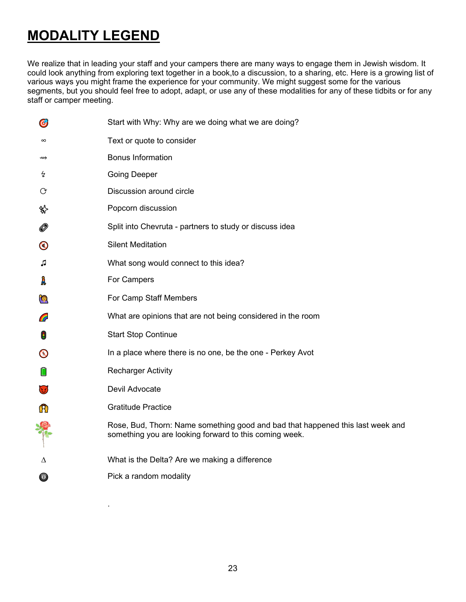### **MODALITY LEGEND**

We realize that in leading your staff and your campers there are many ways to engage them in Jewish wisdom. It could look anything from exploring text together in a book, to a discussion, to a sharing, etc. Here is a growing list of various ways you might frame the experience for your community. We might suggest some for the various segments, but you should feel free to adopt, adapt, or use any of these modalities for any of these tidbits or for any staff or camper meeting.

| G                 | Start with Why: Why are we doing what we are doing?                                                                                      |
|-------------------|------------------------------------------------------------------------------------------------------------------------------------------|
| $\infty$          | Text or quote to consider                                                                                                                |
| -w>               | <b>Bonus Information</b>                                                                                                                 |
| G                 | <b>Going Deeper</b>                                                                                                                      |
| G                 | Discussion around circle                                                                                                                 |
| ℁                 | Popcorn discussion                                                                                                                       |
| 0                 | Split into Chevruta - partners to study or discuss idea                                                                                  |
| $\bm{\mathsf{O}}$ | <b>Silent Meditation</b>                                                                                                                 |
| ♫                 | What song would connect to this idea?                                                                                                    |
| Ã                 | For Campers                                                                                                                              |
| <b>le</b>         | For Camp Staff Members                                                                                                                   |
| <b>C</b>          | What are opinions that are not being considered in the room                                                                              |
| 8                 | <b>Start Stop Continue</b>                                                                                                               |
| $\bm{\mathsf{O}}$ | In a place where there is no one, be the one - Perkey Avot                                                                               |
| П                 | <b>Recharger Activity</b>                                                                                                                |
| 63                | Devil Advocate                                                                                                                           |
| A                 | <b>Gratitude Practice</b>                                                                                                                |
| <b>ORE</b>        | Rose, Bud, Thorn: Name something good and bad that happened this last week and<br>something you are looking forward to this coming week. |
| Δ                 | What is the Delta? Are we making a difference                                                                                            |
| $\bullet$         | Pick a random modality                                                                                                                   |
|                   |                                                                                                                                          |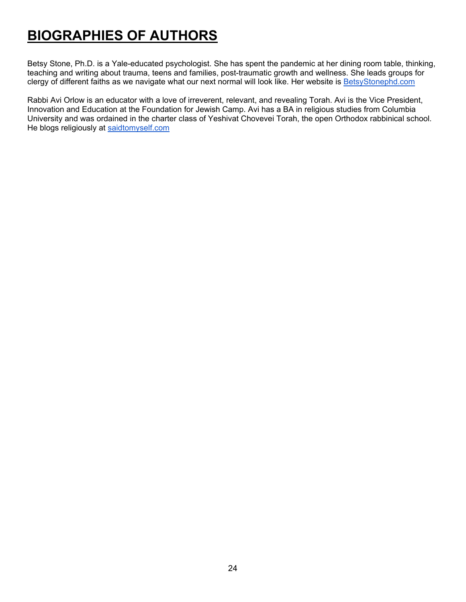### **BIOGRAPHIES OF AUTHORS**

Betsy Stone, Ph.D. is a Yale-educated psychologist. She has spent the pandemic at her dining room table, thinking, teaching and writing about trauma, teens and families, post-traumatic growth and wellness. She leads groups for clergy of different faiths as we navigate what our next normal will look like. Her website is [BetsyStonephd.com](https://www.betsystonephd.com/) 

Rabbi Avi Orlow is an educator with a love of irreverent, relevant, and revealing Torah. Avi is the Vice President, Innovation and Education at the Foundation for Jewish Camp. Avi has a BA in religious studies from Columbia University and was ordained in the charter class of Yeshivat Chovevei Torah, the open Orthodox rabbinical school. He blogs religiously a[t](http://saidtomyself.com/) [saidtomyself.com](http://saidtomyself.com/)